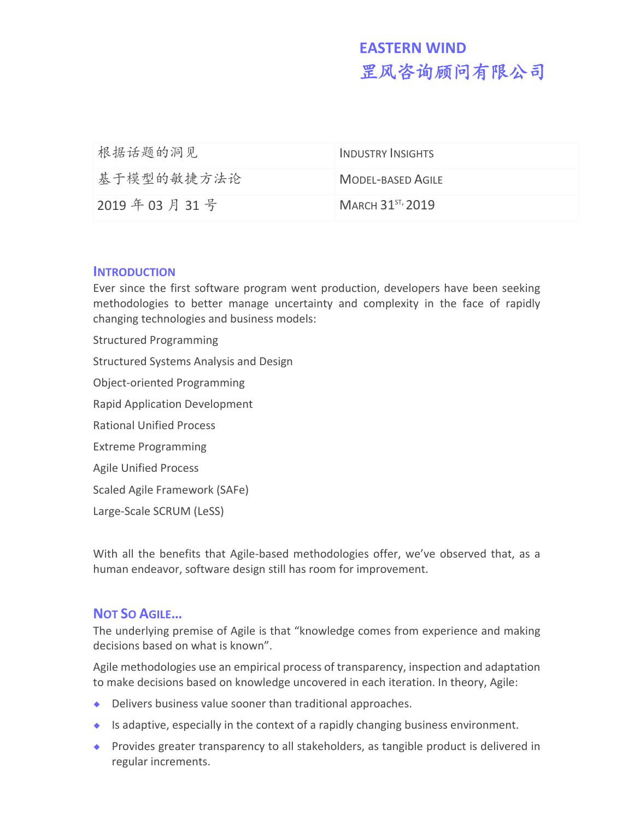# **EASTERN WIND** 罡风咨询顾问有限公司

| 根据话题的洞见     | INDUSTRY INSIGHTS      |
|-------------|------------------------|
| 基于模型的敏捷方法论  | MODEL-BASED AGILE      |
| 2019年03月31号 | MARCH $31^{57}$ , 2019 |

#### **INTRODUCTION**

Ever since the first software program went production, developers have been seeking methodologies to better manage uncertainty and complexity in the face of rapidly changing technologies and business models:

Structured Programming Structured Systems Analysis and Design Object-oriented Programming Rapid Application Development Rational Unified Process Extreme Programming Agile Unified Process Scaled Agile Framework (SAFe) Large-Scale SCRUM (LeSS)

With all the benefits that Agile-based methodologies offer, we've observed that, as a human endeavor, software design still has room for improvement.

# **NOT SO AGILE…**

The underlying premise of Agile is that "knowledge comes from experience and making decisions based on what is known".

Agile methodologies use an empirical process of transparency, inspection and adaptation to make decisions based on knowledge uncovered in each iteration. In theory, Agile:

- Delivers business value sooner than traditional approaches.
- $\bullet$  Is adaptive, especially in the context of a rapidly changing business environment.
- ◆ Provides greater transparency to all stakeholders, as tangible product is delivered in regular increments.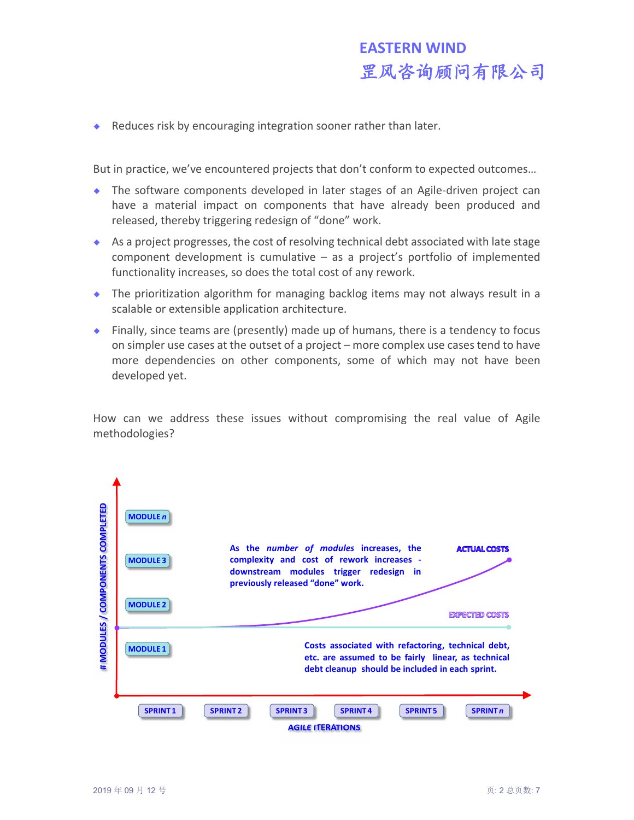Reduces risk by encouraging integration sooner rather than later.

But in practice, we've encountered projects that don't conform to expected outcomes…

- The software components developed in later stages of an Agile-driven project can have a material impact on components that have already been produced and released, thereby triggering redesign of "done" work.
- $\bullet$  As a project progresses, the cost of resolving technical debt associated with late stage component development is cumulative – as a project's portfolio of implemented functionality increases, so does the total cost of any rework.
- The prioritization algorithm for managing backlog items may not always result in a scalable or extensible application architecture.
- Finally, since teams are (presently) made up of humans, there is a tendency to focus on simpler use cases at the outset of a project – more complex use cases tend to have more dependencies on other components, some of which may not have been developed yet.

How can we address these issues without compromising the real value of Agile methodologies?

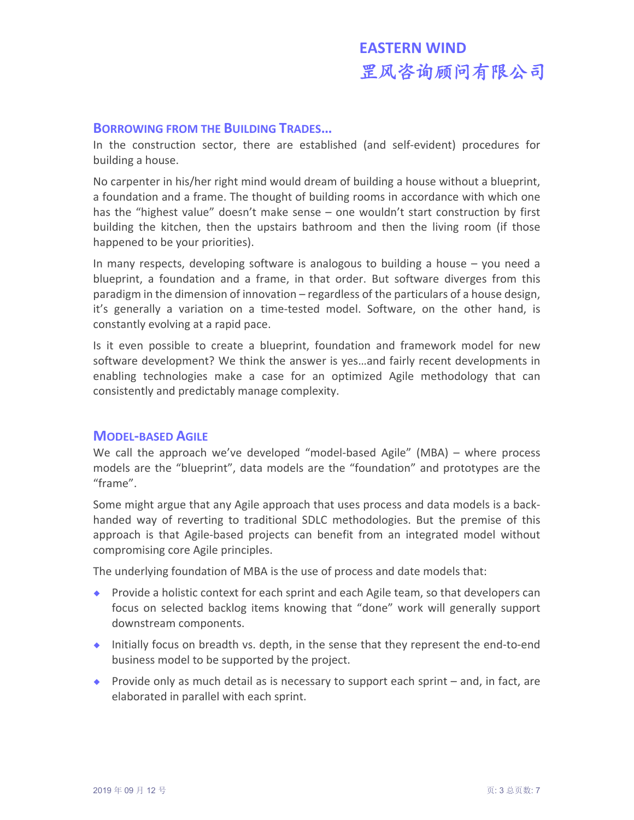## **BORROWING FROM THE BUILDING TRADES…**

In the construction sector, there are established (and self-evident) procedures for building a house.

No carpenter in his/her right mind would dream of building a house without a blueprint, a foundation and a frame. The thought of building rooms in accordance with which one has the "highest value" doesn't make sense – one wouldn't start construction by first building the kitchen, then the upstairs bathroom and then the living room (if those happened to be your priorities).

In many respects, developing software is analogous to building a house – you need a blueprint, a foundation and a frame, in that order. But software diverges from this paradigm in the dimension of innovation – regardless of the particulars of a house design, it's generally a variation on a time-tested model. Software, on the other hand, is constantly evolving at a rapid pace.

Is it even possible to create a blueprint, foundation and framework model for new software development? We think the answer is yes…and fairly recent developments in enabling technologies make a case for an optimized Agile methodology that can consistently and predictably manage complexity.

#### **MODEL-BASED AGILE**

We call the approach we've developed "model-based Agile" (MBA) – where process models are the "blueprint", data models are the "foundation" and prototypes are the "frame".

Some might argue that any Agile approach that uses process and data models is a backhanded way of reverting to traditional SDLC methodologies. But the premise of this approach is that Agile-based projects can benefit from an integrated model without compromising core Agile principles.

The underlying foundation of MBA is the use of process and date models that:

- **Provide a holistic context for each sprint and each Agile team, so that developers can** focus on selected backlog items knowing that "done" work will generally support downstream components.
- Initially focus on breadth vs. depth, in the sense that they represent the end-to-end business model to be supported by the project.
- **Provide only as much detail as is necessary to support each sprint and, in fact, are** elaborated in parallel with each sprint.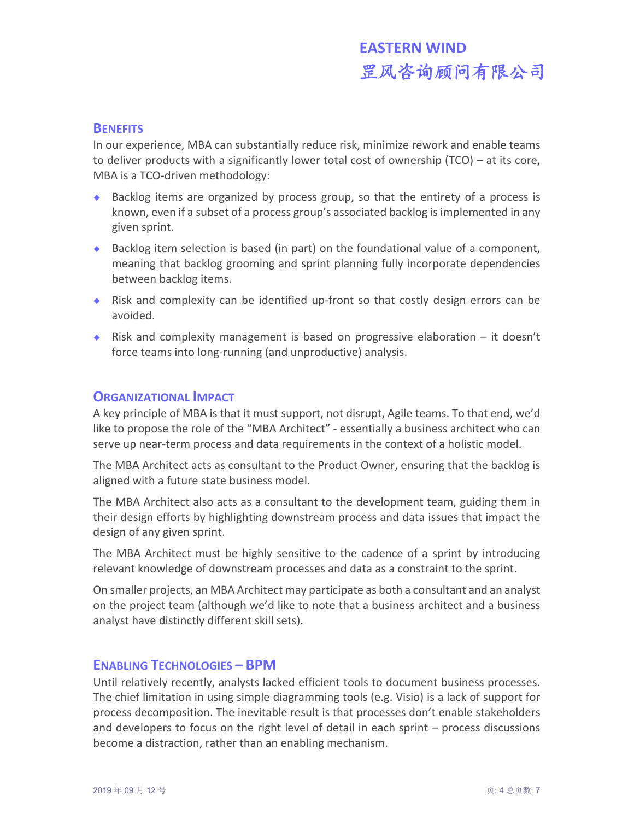#### **BENEFITS**

In our experience, MBA can substantially reduce risk, minimize rework and enable teams to deliver products with a significantly lower total cost of ownership (TCO) – at its core, MBA is a TCO-driven methodology:

- Backlog items are organized by process group, so that the entirety of a process is known, even if a subset of a process group's associated backlog is implemented in any given sprint.
- Backlog item selection is based (in part) on the foundational value of a component, meaning that backlog grooming and sprint planning fully incorporate dependencies between backlog items.
- Risk and complexity can be identified up-front so that costly design errors can be avoided.
- Risk and complexity management is based on progressive elaboration  $-$  it doesn't force teams into long-running (and unproductive) analysis.

#### **ORGANIZATIONAL IMPACT**

A key principle of MBA is that it must support, not disrupt, Agile teams. To that end, we'd like to propose the role of the "MBA Architect" - essentially a business architect who can serve up near-term process and data requirements in the context of a holistic model.

The MBA Architect acts as consultant to the Product Owner, ensuring that the backlog is aligned with a future state business model.

The MBA Architect also acts as a consultant to the development team, guiding them in their design efforts by highlighting downstream process and data issues that impact the design of any given sprint.

The MBA Architect must be highly sensitive to the cadence of a sprint by introducing relevant knowledge of downstream processes and data as a constraint to the sprint.

On smaller projects, an MBA Architect may participate as both a consultant and an analyst on the project team (although we'd like to note that a business architect and a business analyst have distinctly different skill sets).

#### **ENABLING TECHNOLOGIES – BPM**

Until relatively recently, analysts lacked efficient tools to document business processes. The chief limitation in using simple diagramming tools (e.g. Visio) is a lack of support for process decomposition. The inevitable result is that processes don't enable stakeholders and developers to focus on the right level of detail in each sprint – process discussions become a distraction, rather than an enabling mechanism.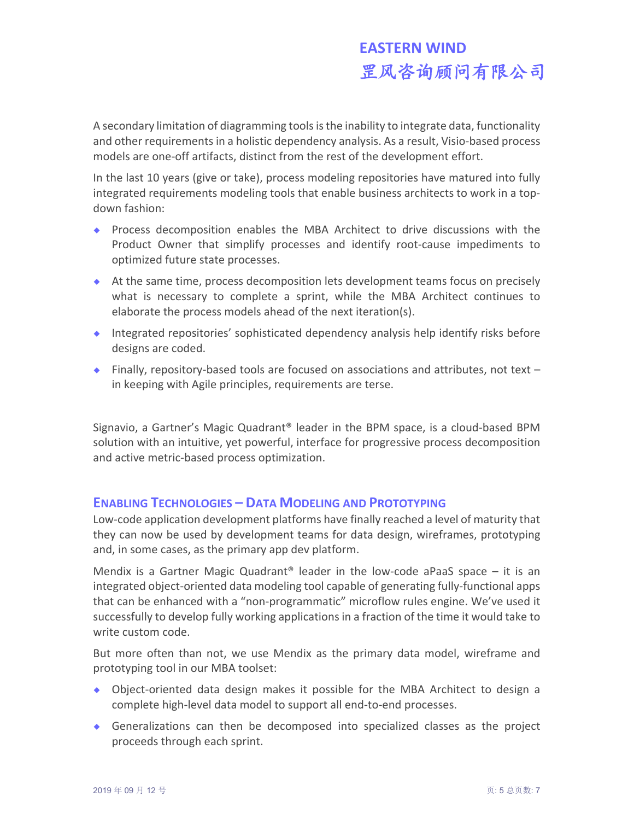A secondary limitation of diagramming tools is the inability to integrate data, functionality and other requirements in a holistic dependency analysis. As a result, Visio-based process models are one-off artifacts, distinct from the rest of the development effort.

In the last 10 years (give or take), process modeling repositories have matured into fully integrated requirements modeling tools that enable business architects to work in a topdown fashion:

- Process decomposition enables the MBA Architect to drive discussions with the Product Owner that simplify processes and identify root-cause impediments to optimized future state processes.
- At the same time, process decomposition lets development teams focus on precisely what is necessary to complete a sprint, while the MBA Architect continues to elaborate the process models ahead of the next iteration(s).
- Integrated repositories' sophisticated dependency analysis help identify risks before designs are coded.
- ◆ Finally, repository-based tools are focused on associations and attributes, not text in keeping with Agile principles, requirements are terse.

Signavio, a Gartner's Magic Quadrant® leader in the BPM space, is a cloud-based BPM solution with an intuitive, yet powerful, interface for progressive process decomposition and active metric-based process optimization.

# **ENABLING TECHNOLOGIES – DATA MODELING AND PROTOTYPING**

Low-code application development platforms have finally reached a level of maturity that they can now be used by development teams for data design, wireframes, prototyping and, in some cases, as the primary app dev platform.

Mendix is a Gartner Magic Quadrant<sup>®</sup> leader in the low-code aPaaS space  $-$  it is an integrated object-oriented data modeling tool capable of generating fully-functional apps that can be enhanced with a "non-programmatic" microflow rules engine. We've used it successfully to develop fully working applications in a fraction of the time it would take to write custom code.

But more often than not, we use Mendix as the primary data model, wireframe and prototyping tool in our MBA toolset:

- Object-oriented data design makes it possible for the MBA Architect to design a complete high-level data model to support all end-to-end processes.
- Generalizations can then be decomposed into specialized classes as the project proceeds through each sprint.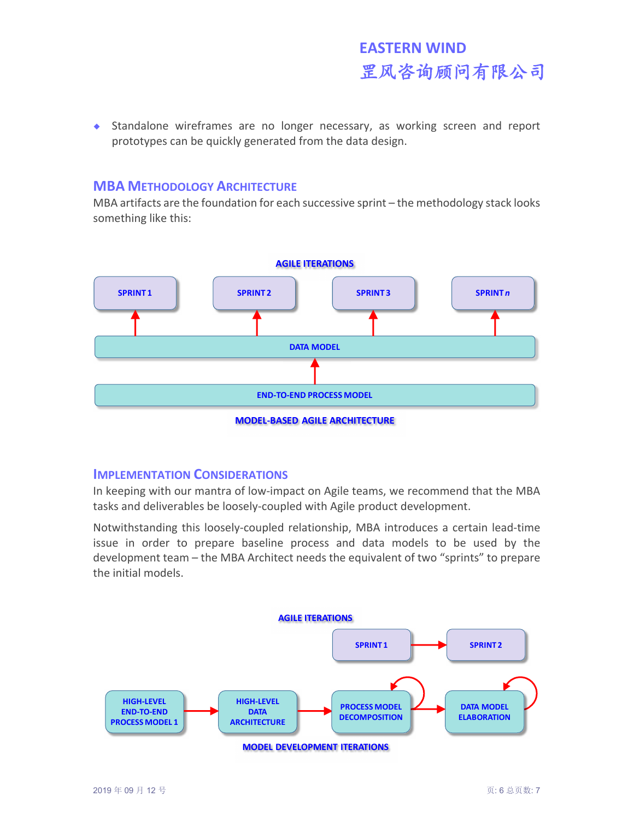Standalone wireframes are no longer necessary, as working screen and report prototypes can be quickly generated from the data design.

## **MBA METHODOLOGY ARCHITECTURE**

MBA artifacts are the foundation for each successive sprint – the methodology stack looks something like this:



**MODEL-BASED AGILE ARCHITECTURE**

#### **IMPLEMENTATION CONSIDERATIONS**

In keeping with our mantra of low-impact on Agile teams, we recommend that the MBA tasks and deliverables be loosely-coupled with Agile product development.

Notwithstanding this loosely-coupled relationship, MBA introduces a certain lead-time issue in order to prepare baseline process and data models to be used by the development team – the MBA Architect needs the equivalent of two "sprints" to prepare the initial models.